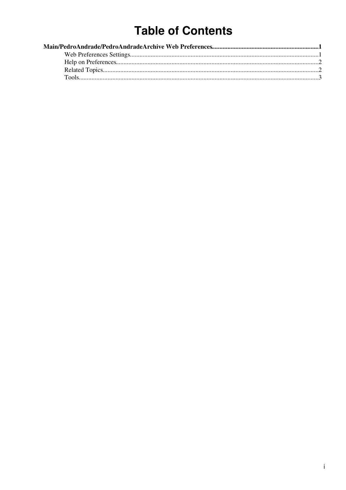# **Table of Contents**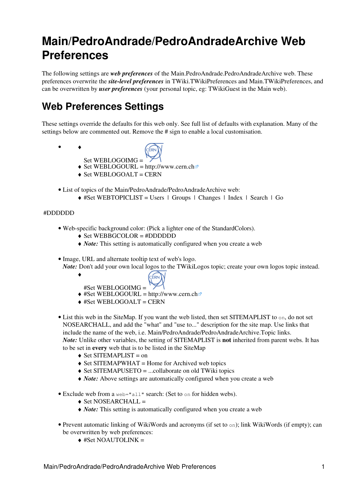## <span id="page-1-0"></span>**Main/PedroAndrade/PedroAndradeArchive Web Preferences**

The following settings are *web preferences* of the [Main.PedroAndrade.PedroAndradeArchive](https://twiki.cern.ch/twiki/bin/view/Main/PedroAndrade/PedroAndradeArchive/WebHome) web. These preferences overwrite the *site-level preferences* in [TWiki.TWikiPreferences](https://twiki.cern.ch/twiki/bin/view/TWiki/TWikiPreferences) and [Main.TWikiPreferences](https://twiki.cern.ch/twiki/bin/view/Main/TWikiPreferences), and can be overwritten by *user preferences* (your personal topic, eg: [TWikiGuest](https://twiki.cern.ch/twiki/bin/view/Main/TWikiGuest) in the [Main](https://twiki.cern.ch/twiki/bin/view/Main/WebHome) web).

### <span id="page-1-1"></span>**Web Preferences Settings**

These settings override the defaults for this web only. See [full list of defaults with explanation.](https://twiki.cern.ch/twiki/bin/view/TWiki/TWikiPreferences#DefaultWebPreferences) Many of the settings below are commented out. Remove the # sign to enable a local customisation.

- ♦ •
	- **FEPN** Set WEBLOGOIMG =
	- $\triangle$  Set WEBLOGOURL = <http://www.cern.ch>
	- ♦ Set WEBLOGOALT = CERN
- List of topics of the Main/PedroAndrade/PedroAndradeArchive web:
	- $\triangle$  #Set WEBTOPICLIST = [Users](https://twiki.cern.ch/twiki/bin/edit/Main/PedroAndrade/PedroAndradeArchive/TWikiUsers?topicparent=Main/PedroAndrade/PedroAndradeArchive.WebPreferences;nowysiwyg=1) | [Groups](https://twiki.cern.ch/twiki/bin/edit/Main/PedroAndrade/PedroAndradeArchive/TWikiGroups?topicparent=Main/PedroAndrade/PedroAndradeArchive.WebPreferences;nowysiwyg=1) | [Changes](https://twiki.cern.ch/twiki/bin/view/Main/PedroAndrade/PedroAndradeArchive/WebChanges) | [Index](https://twiki.cern.ch/twiki/bin/view/Main/PedroAndrade/PedroAndradeArchive/WebIndex) | [Search](https://twiki.cern.ch/twiki/bin/view/Main/PedroAndrade/PedroAndradeArchive/WebSearch) | Go

#### #DDDDDD

- Web-specific background color: (Pick a lighter one of the [StandardColors\)](https://twiki.cern.ch/twiki/bin/view/TWiki/StandardColors).
	- $\triangle$  Set WEBBGCOLOR = #DDDDDD
	- ♦ *Note:* This setting is automatically configured when you create a web
- Image, URL and alternate tooltip text of web's logo. *Note:* Don't add your own local logos to the [TWikiLogos](https://twiki.cern.ch/twiki/bin/view/TWiki/TWikiLogos) topic; create your own logos topic instead.
	- ♦
- **ERN** #Set WEBLOGOIMG =
	- $\triangleq$  #Set WEBLOGOURL =<http://www.cern.ch>
	- $\triangle$  #Set WEBLOGOALT = CERN
- List this web in the [SiteMap](https://twiki.cern.ch/twiki/bin/view/TWiki/SiteMap). If you want the web listed, then set SITEMAPLIST to on, do not set NOSEARCHALL, and add the "what" and "use to..." description for the site map. Use links that include the name of the web, i.e. Main/PedroAndrade/PedroAndradeArchive.Topic links. *Note:* Unlike other variables, the setting of SITEMAPLIST is **not** inherited from parent webs. It has to be set in **every** web that is to be listed in the [SiteMap](https://twiki.cern.ch/twiki/bin/view/TWiki/SiteMap)
	- $\triangle$  Set SITEMAPLIST = on
	- $\triangle$  Set SITEMAPWHAT = Home for Archived web topics
	- $\triangle$  Set SITEMAPUSETO = ...collaborate on old TWiki topics
	- ♦ *Note:* Above settings are automatically configured when you create a web
- Exclude web from a web="all" search: (Set to on for hidden webs).
	- $\triangle$  Set NOSEARCHALL =
	- ♦ *Note:* This setting is automatically configured when you create a web
- Prevent automatic linking of [WikiWords](https://twiki.cern.ch/twiki/bin/view/TWiki/WikiWord) and acronyms (if set to on); link WikiWords (if empty); can be overwritten by web preferences:
	- $\triangle$  #Set NOAUTOLINK =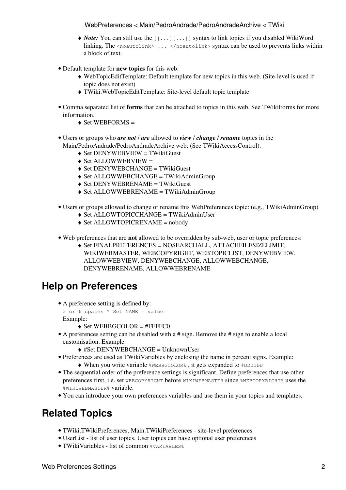#### WebPreferences < Main/PedroAndrade/PedroAndradeArchive < TWiki

- ◆ *Note*: You can still use the [[...][...]] syntax to link topics if you disabled WikiWord linking. The <noautolink> ... </noautolink> syntax can be used to prevents links within a block of text.
- Default template for **new topics** for this web:
	- [WebTopicEditTemplate](https://twiki.cern.ch/twiki/bin/edit/Main/PedroAndrade/PedroAndradeArchive/WebTopicEditTemplate?topicparent=Main/PedroAndrade/PedroAndradeArchive.WebPreferences;nowysiwyg=1): Default template for new topics in this web. (Site-level is used if ♦ topic does not exist)
	- ♦ [TWiki.WebTopicEditTemplate:](https://twiki.cern.ch/twiki/bin/view/TWiki/WebTopicEditTemplate) Site-level default topic template
- Comma separated list of **forms** that can be attached to topics in this web. See [TWikiForms](https://twiki.cern.ch/twiki/bin/view/TWiki/TWikiForms) for more information.
	- $\triangleleft$  Set WEBFORMS =
- Users or groups who *are not* / *are* allowed to *view* / *change* / *rename* topics in the Main/PedroAndrade/PedroAndradeArchive web: (See [TWikiAccessControl](https://twiki.cern.ch/twiki/bin/view/TWiki/TWikiAccessControl)).
	- $\triangle$  Set DENYWEBVIEW = [TWikiGuest](https://twiki.cern.ch/twiki/bin/view/Main/TWikiGuest)
	- $\triangle$  Set ALLOWWEBVIEW =
	- ♦ Set DENYWEBCHANGE = [TWikiGuest](https://twiki.cern.ch/twiki/bin/view/Main/TWikiGuest)
	- $\triangle$  Set ALLOWWEBCHANGE = [TWikiAdminGroup](https://twiki.cern.ch/twiki/bin/view/Main/TWikiAdminGroup)
	- ♦ Set DENYWEBRENAME = [TWikiGuest](https://twiki.cern.ch/twiki/bin/view/Main/TWikiGuest)
	- ♦ Set ALLOWWEBRENAME = [TWikiAdminGroup](https://twiki.cern.ch/twiki/bin/view/Main/TWikiAdminGroup)
- Users or groups allowed to change or rename this WebPreferences topic: (e.g., [TWikiAdminGroup\)](https://twiki.cern.ch/twiki/bin/view/Main/TWikiAdminGroup)
	- ♦ Set ALLOWTOPICCHANGE = [TWikiAdminUser](https://twiki.cern.ch/twiki/bin/edit/Main/PedroAndrade/PedroAndradeArchive/TWikiAdminUser?topicparent=Main/PedroAndrade/PedroAndradeArchive.WebPreferences;nowysiwyg=1)
	- ♦ Set ALLOWTOPICRENAME = nobody
- Web preferences that are **not** allowed to be overridden by sub-web, user or topic preferences:
	- Set FINALPREFERENCES = NOSEARCHALL, ATTACHFILESIZELIMIT, ♦ WIKIWEBMASTER, WEBCOPYRIGHT, WEBTOPICLIST, DENYWEBVIEW, ALLOWWEBVIEW, DENYWEBCHANGE, ALLOWWEBCHANGE, DENYWEBRENAME, ALLOWWEBRENAME

### <span id="page-2-0"></span>**Help on Preferences**

- A preference setting is defined by: •
- 3 or 6 spaces \* Set NAME = value Example:
	- $\triangle$  Set WEBBGCOLOR = #FFFFC0
- A preferences setting can be disabled with a # sign. Remove the # sign to enable a local customisation. Example:
	- ♦ #Set DENYWEBCHANGE = [UnknownUser](https://twiki.cern.ch/twiki/bin/view/Main/UnknownUser)
- Preferences are used as [TWikiVariables](https://twiki.cern.ch/twiki/bin/view/TWiki/TWikiVariables) by enclosing the name in percent signs. Example:
	- ♦ When you write variable %WEBBGCOLOR% , it gets expanded to #DDDDDD
- The sequential order of the preference settings is significant. Define preferences that use other preferences first, i.e. set WEBCOPYRIGHT before WIKIWEBMASTER since %WEBCOPYRIGHT% uses the %WIKIWEBMASTER% variable.
- You can introduce your own preferences variables and use them in your topics and templates.

### <span id="page-2-1"></span>**Related Topics**

- [TWiki.TWikiPreferences,](https://twiki.cern.ch/twiki/bin/view/TWiki/TWikiPreferences) [Main.TWikiPreferences](https://twiki.cern.ch/twiki/bin/view/Main/TWikiPreferences)  site-level preferences
- [UserList](https://twiki.cern.ch/twiki/bin/view/Main/UserList)  list of user topics. User topics can have optional user preferences
- [TWikiVariables](https://twiki.cern.ch/twiki/bin/view/TWiki/TWikiVariables)  list of common %VARIABLES%